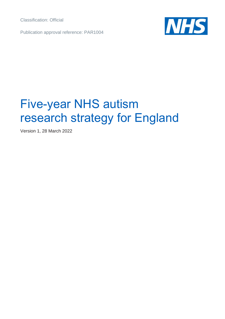Classification: Official

Publication approval reference: PAR1004



# Five-year NHS autism research strategy for England

Version 1, 28 March 2022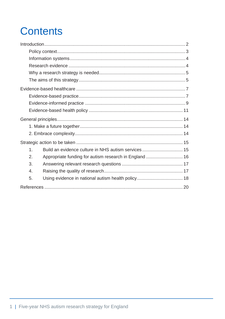## **Contents**

| Build an evidence culture in NHS autism services 15<br>1.    |  |  |  |
|--------------------------------------------------------------|--|--|--|
| Appropriate funding for autism research in England  16<br>2. |  |  |  |
| 3.                                                           |  |  |  |
| $\mathbf{4}$                                                 |  |  |  |
| 5.                                                           |  |  |  |
|                                                              |  |  |  |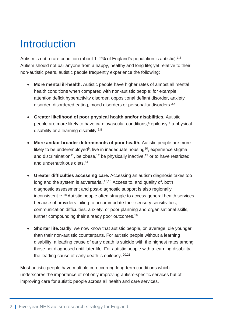## <span id="page-2-0"></span>Introduction

Autism is not a rare condition (about  $1-2\%$  of England's population is autistic).<sup>1,2</sup> Autism should not bar anyone from a happy, healthy and long life; yet relative to their non-autistic peers, autistic people frequently experience the following:

- **More mental ill-health.** Autistic people have higher rates of almost all mental health conditions when compared with non-autistic people; for example, attention deficit hyperactivity disorder, oppositional defiant disorder, anxiety disorder, disordered eating, mood disorders or personality disorders.<sup>3,4</sup>
- **Greater likelihood of poor physical health and/or disabilities.** Autistic people are more likely to have cardiovascular conditions, <sup>5</sup> epilepsy, <sup>6</sup> a physical disability or a learning disability.<sup>7,8</sup>
- **More and/or broader determinants of poor health.** Autistic people are more likely to be underemployed<sup>9</sup>, live in inadequate housing<sup>10</sup>, experience stigma and discrimination<sup>11</sup>, be obese,<sup>12</sup> be physically inactive,<sup>13</sup> or to have restricted and undernutritious diets. 14
- **Greater difficulties accessing care.** Accessing an autism diagnosis takes too long and the system is adversarial.<sup>15,16</sup> Access to, and quality of, both diagnostic assessment and post-diagnostic support is also regionally inconsistent. 17,18 Autistic people often struggle to access general health services because of providers failing to accommodate their sensory sensitivities, communication difficulties, anxiety, or poor planning and organisational skills, further compounding their already poor outcomes.<sup>19</sup>
- **Shorter life.** Sadly, we now know that autistic people, on average, die younger than their non-autistic counterparts. For autistic people without a learning disability, a leading cause of early death is suicide with the highest rates among those not diagnosed until later life. For autistic people with a learning disability, the leading cause of early death is epilepsy. 20,21

Most autistic people have multiple co-occurring long-term conditions which underscores the importance of not only improving autism-specific services but of improving care for autistic people across all health and care services.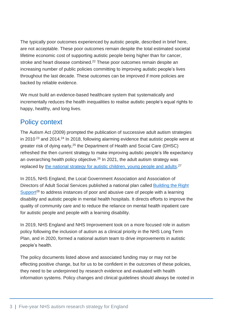The typically poor outcomes experienced by autistic people, described in brief here, are not acceptable. These poor outcomes remain despite the total estimated societal lifetime economic cost of supporting autistic people being higher than for cancer, stroke and heart disease combined.<sup>22</sup> These poor outcomes remain despite an increasing number of public policies committing to improving autistic people's lives throughout the last decade. These outcomes can be improved if more policies are backed by reliable evidence.

We must build an evidence-based healthcare system that systematically and incrementally reduces the health inequalities to realise autistic people's equal rights to happy, healthy, and long lives.

### <span id="page-3-0"></span>Policy context

The Autism Act (2009) prompted the publication of successive adult autism strategies in 2010<sup>23</sup> and 2014<sup>24</sup> In 2018, following alarming evidence that autistic people were at greater risk of dying early,<sup>25</sup> the Department of Health and Social Care (DHSC) refreshed the then current strategy to make improving autistic people's life expectancy an overarching health policy objective. <sup>26</sup> In 2021, the adult autism strategy was replaced by the national [strategy for autistic children, young people and adults.](https://www.gov.uk/government/publications/national-strategy-for-autistic-children-young-people-and-adults-2021-to-2026/the-national-strategy-for-autistic-children-young-people-and-adults-2021-to-2026)<sup>27</sup>

In 2015, NHS England, the Local Government Association and Association of Directors of Adult Social Services published a national plan called [Building the Right](https://www.england.nhs.uk/learning-disabilities/natplan/)  [Support](https://www.england.nhs.uk/learning-disabilities/natplan/)<sup>28</sup> to address instances of poor and abusive care of people with a learning disability and autistic people in mental health hospitals. It directs efforts to improve the quality of community care and to reduce the reliance on mental health inpatient care for autistic people and people with a learning disability.

In 2019, NHS England and NHS Improvement took on a more focused role in autism policy following the inclusion of autism as a clinical priority in the NHS Long Term Plan, and in 2020, formed a national autism team to drive improvements in autistic people's health.

The policy documents listed above and associated funding may or may not be effecting positive change, but for us to be confident in the outcomes of these policies, they need to be underpinned by research evidence and evaluated with health information systems. Policy changes and clinical guidelines should always be rooted in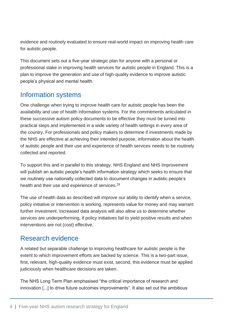evidence and routinely evaluated to ensure real-world impact on improving health care for autistic people.

This document sets out a five-year strategic plan for anyone with a personal or professional stake in improving health services for autistic people in England. This is a plan to improve the generation and use of high-quality evidence to improve autistic people's physical and mental health.

## <span id="page-4-0"></span>Information systems

One challenge when trying to improve health care for autistic people has been the availability and use of health information systems. For the commitments articulated in these successive autism policy documents to be effective they must be turned into practical steps and implemented in a wide variety of health settings in every area of the country. For professionals and policy makers to determine if investments made by the NHS are effective at achieving their intended purpose, information about the health of autistic people and their use and experience of health services needs to be routinely collected and reported.

To support this and in parallel to this strategy, NHS England and NHS Improvement will publish an autistic people's health information strategy which seeks to ensure that we routinely use nationally collected data to document changes in autistic people's health and their use and experience of services.<sup>29</sup>

The use of health data as described will improve our ability to identify when a service, policy initiative or intervention is working, represents value for money and may warrant further investment. Increased data analysis will also allow us to determine whether services are underperforming, if policy initiatives fail to yield positive results and when interventions are not (cost) effective.

## <span id="page-4-1"></span>Research evidence

A related but separable challenge to improving healthcare for autistic people is the extent to which improvement efforts are backed by science. This is a two-part issue, first, relevant, high-quality evidence must exist, second, this evidence must be applied judiciously when healthcare decisions are taken.

The NHS Long Term Plan emphasised "the critical importance of research and innovation [...] to drive future outcomes improvements". It also set out the ambitious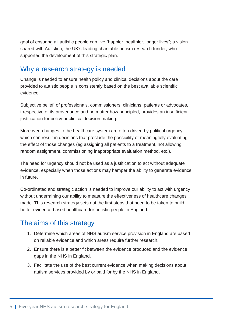goal of ensuring all autistic people can live "happier, healthier, longer lives"; a vision shared with Autistica, the UK's leading charitable autism research funder, who supported the development of this strategic plan.

## <span id="page-5-0"></span>Why a research strategy is needed

Change is needed to ensure health policy and clinical decisions about the care provided to autistic people is consistently based on the best available scientific evidence.

Subjective belief, of professionals, commissioners, clinicians, patients or advocates, irrespective of its provenance and no matter how principled, provides an insufficient justification for policy or clinical decision making.

Moreover, changes to the healthcare system are often driven by political urgency which can result in decisions that preclude the possibility of meaningfully evaluating the effect of those changes (eg assigning all patients to a treatment, not allowing random assignment, commissioning inappropriate evaluation method, etc.).

The need for urgency should not be used as a justification to act without adequate evidence, especially when those actions may hamper the ability to generate evidence in future.

Co-ordinated and strategic action is needed to improve our ability to act with urgency without undermining our ability to measure the effectiveness of healthcare changes made. This research strategy sets out the first steps that need to be taken to build better evidence-based healthcare for autistic people in England.

## <span id="page-5-1"></span>The aims of this strategy

- 1. Determine which areas of NHS autism service provision in England are based on reliable evidence and which areas require further research.
- 2. Ensure there is a better fit between the evidence produced and the evidence gaps in the NHS in England.
- 3. Facilitate the use of the best current evidence when making decisions about autism services provided by or paid for by the NHS in England.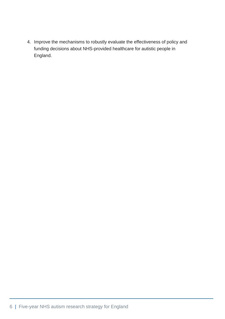4. Improve the mechanisms to robustly evaluate the effectiveness of policy and funding decisions about NHS-provided healthcare for autistic people in England.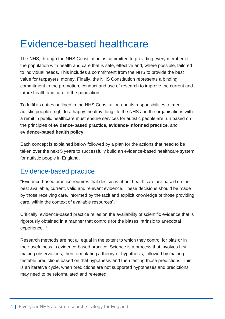## <span id="page-7-0"></span>Evidence-based healthcare

The NHS, through the NHS Constitution, is committed to providing every member of the population with health and care that is safe, effective and, where possible, tailored to individual needs. This includes a commitment from the NHS to provide the best value for taxpayers' money. Finally, the NHS Constitution represents a binding commitment to the promotion, conduct and use of research to improve the current and future health and care of the population.

To fulfil its duties outlined in the NHS Constitution and its responsibilities to meet autistic people's right to a happy, healthy, long life the NHS and the organisations with a remit in public healthcare must ensure services for autistic people are run based on the principles of **evidence-based practice, evidence-informed practice,** and **evidence-based health policy.**

Each concept is explained below followed by a plan for the actions that need to be taken over the next 5 years to successfully build an evidence-based healthcare system for autistic people in England.

## <span id="page-7-1"></span>Evidence-based practice

"Evidence-based practice requires that decisions about health care are based on the best available, current, valid and relevant evidence. These decisions should be made by those receiving care, informed by the tacit and explicit knowledge of those providing care, within the context of available resources". 30

Critically, evidence-based practice relies on the availability of scientific evidence that is rigorously obtained in a manner that controls for the biases intrinsic to anecdotal experience. 31

Research methods are not all equal in the extent to which they control for bias or in their usefulness in evidence-based practice. Science is a process that involves first making observations, then formulating a theory or hypothesis, followed by making testable predictions based on that hypothesis and then testing those predictions. This is an iterative cycle, when predictions are not supported hypotheses and predictions may need to be reformulated and re-tested.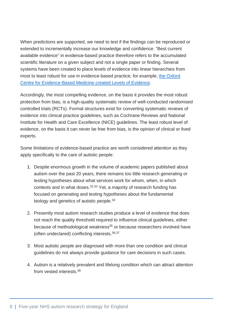When predictions are supported, we need to test if the findings can be reproduced or extended to incrementally increase our knowledge and confidence. "Best current available evidence" in evidence-based practice therefore refers to the accumulated scientific literature on a given subject and not a single paper or finding. Several systems have been created to place levels of evidence into linear hierarchies from most to least robust for use in evidence-based practice, for example, [the Oxford](https://www.cebm.ox.ac.uk/resources/levels-of-evidence/oxford-centre-for-evidence-based-medicine-levels-of-evidence-march-2009)  [Centre for Evidence-Based Medicine created Levels of Evidence.](https://www.cebm.ox.ac.uk/resources/levels-of-evidence/oxford-centre-for-evidence-based-medicine-levels-of-evidence-march-2009)

Accordingly, the most compelling evidence, on the basis it provides the most robust protection from bias, is a high-quality systematic review of well-conducted randomised controlled trials (RCTs). Formal structures exist for converting systematic reviews of evidence into clinical practice guidelines, such as Cochrane Reviews and National Institute for Health and Care Excellence (NICE) guidelines. The least robust level of evidence, on the basis it can never be free from bias, is the opinion of clinical or lived experts.

Some limitations of evidence-based practice are worth considered attention as they apply specifically to the care of autistic people:

- 1. Despite enormous growth in the volume of academic papers published about autism over the past 20 years, there remains too little research generating or testing hypotheses about what services work for whom, when, in which contexts and in what doses.<sup>32,33</sup> Yet, a majority of research funding has focused on generating and testing hypotheses about the fundamental biology and genetics of autistic people.<sup>34</sup>
- 2. Presently most autism research studies produce a level of evidence that does not reach the quality threshold required to influence clinical guidelines, either because of methodological weakness<sup>35</sup> or because researchers involved have (often undeclared) conflicting interests.36,37
- 3. Most autistic people are diagnosed with more than one condition and clinical guidelines do not always provide guidance for care decisions in such cases.
- 4. Autism is a relatively prevalent and lifelong condition which can attract attention from vested interests.<sup>38</sup>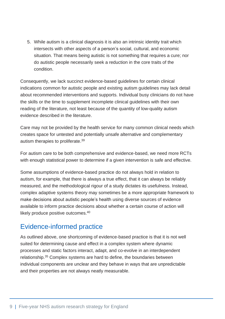5. While autism is a clinical diagnosis it is also an intrinsic identity trait which intersects with other aspects of a person's social, cultural, and economic situation. That means being autistic is not something that requires a cure; nor do autistic people necessarily seek a reduction in the core traits of the condition.

Consequently, we lack succinct evidence-based guidelines for certain clinical indications common for autistic people and existing autism guidelines may lack detail about recommended interventions and supports. Individual busy clinicians do not have the skills or the time to supplement incomplete clinical guidelines with their own reading of the literature, not least because of the quantity of low-quality autism evidence described in the literature.

Care may not be provided by the health service for many common clinical needs which creates space for untested and potentially unsafe alternative and complementary autism therapies to proliferate. 39

For autism care to be both comprehensive and evidence-based, we need more RCTs with enough statistical power to determine if a given intervention is safe and effective.

Some assumptions of evidence-based practice do not always hold in relation to autism, for example, that there is always a true effect, that it can always be reliably measured, and the methodological rigour of a study dictates its usefulness. Instead, complex adaptive systems theory may sometimes be a more appropriate framework to make decisions about autistic people's health using diverse sources of evidence available to inform practice decisions about whether a certain course of action will likely produce positive outcomes.<sup>40</sup>

## <span id="page-9-0"></span>Evidence-informed practice

As outlined above, one shortcoming of evidence-based practice is that it is not well suited for determining cause and effect in a complex system where dynamic processes and static factors interact, adapt, and co-evolve in an interdependent relationship.<sup>35</sup> Complex systems are hard to define, the boundaries between individual components are unclear and they behave in ways that are unpredictable and their properties are not always neatly measurable.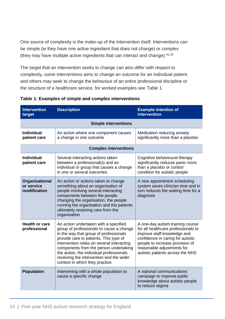One source of complexity is the make-up of the intervention itself. Interventions can be simple (ie they have one active ingredient that does not change) or complex (they may have multiple active ingredients that can interact and change). $41,42$ 

The target that an intervention seeks to change can also differ with respect to complexity, some interventions aims to change an outcome for an individual patient and others may seek to change the behaviour of an entire professional discipline or the structure of a healthcare service, for worked examples see [Table 1.](#page-10-0)

| <b>Intervention</b><br>target                | <b>Description</b>                                                                                                                                                                                                                                                                                                                                                                      | <b>Example intention of</b><br><b>intervention</b>                                                                                                                                                                                               |  |
|----------------------------------------------|-----------------------------------------------------------------------------------------------------------------------------------------------------------------------------------------------------------------------------------------------------------------------------------------------------------------------------------------------------------------------------------------|--------------------------------------------------------------------------------------------------------------------------------------------------------------------------------------------------------------------------------------------------|--|
| <b>Simple interventions</b>                  |                                                                                                                                                                                                                                                                                                                                                                                         |                                                                                                                                                                                                                                                  |  |
| <b>Individual</b><br>patient care            | An action where one component causes<br>a change in one outcome                                                                                                                                                                                                                                                                                                                         | Medication reducing anxiety<br>significantly more than a placebo                                                                                                                                                                                 |  |
| <b>Complex interventions</b>                 |                                                                                                                                                                                                                                                                                                                                                                                         |                                                                                                                                                                                                                                                  |  |
| <b>Individual</b><br>patient care            | Several interacting actions taken<br>between a professional(s) and an<br>individual or group that causes a change<br>in one or several outcomes                                                                                                                                                                                                                                         | Cognitive behavioural therapy<br>significantly reduces panic more<br>than a placebo or control<br>condition for autistic people                                                                                                                  |  |
| Organisational<br>or service<br>modification | An action or actions taken to change<br>something about an organisation of<br>people involving several interacting<br>components between the people<br>changing the organisation, the people<br>running the organisation and the patients<br>ultimately receiving care from the<br>organisation                                                                                         | A new appointment scheduling<br>system saves clinician time and in<br>turn reduces the waiting time for a<br>diagnosis                                                                                                                           |  |
| <b>Health or care</b><br>professional        | An action undertaken with a specified<br>group of professionals to cause a change<br>in the way that group of professionals<br>provide care to patients. This type of<br>intervention relies on several interacting<br>components from the person undertaking<br>the action, the individual professionals<br>receiving the intervention and the wider<br>context in which they practice | A one-day autism training course<br>for all healthcare professionals to<br>improve staff knowledge and<br>confidence in caring for autistic<br>people to increase provision of<br>reasonable adjustments for<br>autistic patients across the NHS |  |
| <b>Population</b>                            | Intervening with a whole population to<br>cause a specific change                                                                                                                                                                                                                                                                                                                       | A national communications<br>campaign to improve public<br>knowledge about autistic people<br>to reduce stigma                                                                                                                                   |  |

#### <span id="page-10-0"></span>**Table 1: Examples of simple and complex interventions**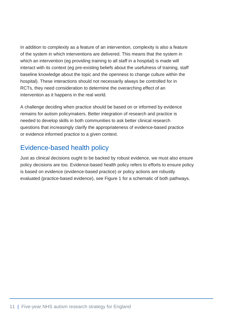In addition to complexity as a feature of an intervention, complexity is also a feature of the system in which interventions are delivered. This means that the system in which an intervention (eg providing training to all staff in a hospital) is made will interact with its context (eg pre-existing beliefs about the usefulness of training, staff baseline knowledge about the topic and the openness to change culture within the hospital). These interactions should not necessarily always be controlled for in RCTs, they need consideration to determine the overarching effect of an intervention as it happens in the real world.

A challenge deciding when practice should be based on or informed by evidence remains for autism policymakers. Better integration of research and practice is needed to develop skills in both communities to ask better clinical research questions that increasingly clarify the appropriateness of evidence-based practice or evidence informed practice to a given context.

## <span id="page-11-0"></span>Evidence-based health policy

Just as clinical decisions ought to be backed by robust evidence, we must also ensure policy decisions are too. Evidence-based health policy refers to efforts to ensure policy is based on evidence (evidence-based practice) or policy actions are robustly evaluated (practice-based evidence), see Figure 1 for a schematic of both pathways.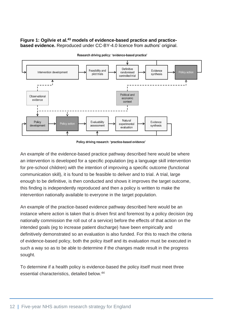#### **Figure 1: Ogilvie et al. <sup>43</sup> models of evidence-based practice and practicebased evidence.** Reproduced under CC-BY-4.0 licence from authors' original.



Research driving policy: 'evidence-based practice'

Policy driving research: 'practice-based evidence'

An example of the evidence-based practice pathway described here would be where an intervention is developed for a specific population (eg a language skill intervention for pre-school children) with the intention of improving a specific outcome (functional communication skill), it is found to be feasible to deliver and to trial. A trial, large enough to be definitive, is then conducted and shows it improves the target outcome, this finding is independently reproduced and then a policy is written to make the intervention nationally available to everyone in the target population.

An example of the practice-based evidence pathway described here would be an instance where action is taken that is driven first and foremost by a policy decision (eg nationally commission the roll out of a service) before the effects of that action on the intended goals (eg to increase patient discharge) have been empirically and definitively demonstrated so an evaluation is also funded. For this to reach the criteria of evidence-based policy, both the policy itself and its evaluation must be executed in such a way so as to be able to determine if the changes made result in the progress sought.

To determine if a health policy is evidence-based the policy itself must meet three essential characteristics, detailed below.44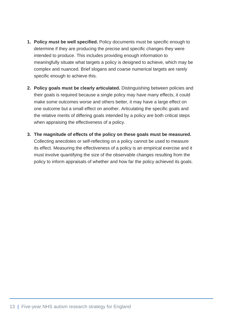- **1. Policy must be well specified.** Policy documents must be specific enough to determine if they are producing the precise and specific changes they were intended to produce. This includes providing enough information to meaningfully situate what targets a policy is designed to achieve, which may be complex and nuanced. Brief slogans and coarse numerical targets are rarely specific enough to achieve this.
- **2. Policy goals must be clearly articulated.** Distinguishing between policies and their goals is required because a single policy may have many effects, it could make some outcomes worse and others better, it may have a large effect on one outcome but a small effect on another. Articulating the specific goals and the relative merits of differing goals intended by a policy are both critical steps when appraising the effectiveness of a policy.
- **3. The magnitude of effects of the policy on these goals must be measured.** Collecting anecdotes or self-reflecting on a policy cannot be used to measure its effect. Measuring the effectiveness of a policy is an empirical exercise and it must involve quantifying the size of the observable changes resulting from the policy to inform appraisals of whether and how far the policy achieved its goals.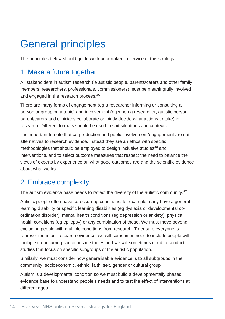## <span id="page-14-0"></span>General principles

The principles below should guide work undertaken in service of this strategy.

## <span id="page-14-1"></span>1. Make a future together

All stakeholders in autism research (ie autistic people, parents/carers and other family members, researchers, professionals, commissioners) must be meaningfully involved and engaged in the research process.<sup>45</sup>

There are many forms of engagement (eg a researcher informing or consulting a person or group on a topic) and involvement (eg when a researcher, autistic person, parent/carers and clinicians collaborate or jointly decide what actions to take) in research. Different formats should be used to suit situations and contexts.

It is important to note that co-production and public involvement/engagement are not alternatives to research evidence. Instead they are an ethos with specific methodologies that should be employed to design inclusive studies<sup>46</sup> and interventions, and to select outcome measures that respect the need to balance the views of experts by experience on what good outcomes are and the scientific evidence about what works.

## <span id="page-14-2"></span>2. Embrace complexity

The autism evidence base needs to reflect the diversity of the autistic community.<sup>47</sup>

Autistic people often have co-occurring conditions: for example many have a general learning disability or specific learning disabilities (eg dyslexia or developmental coordination disorder), mental health conditions (eg depression or anxiety), physical health conditions (eg epilepsy) or any combination of these. We must move beyond excluding people with multiple conditions from research. To ensure everyone is represented in our research evidence, we will sometimes need to include people with multiple co-occurring conditions in studies and we will sometimes need to conduct studies that focus on specific subgroups of the autistic population.

Similarly, we must consider how generalisable evidence is to all subgroups in the community: socioeconomic, ethnic, faith, sex, gender or cultural group

Autism is a developmental condition so we must build a developmentally phased evidence base to understand people's needs and to test the effect of interventions at different ages.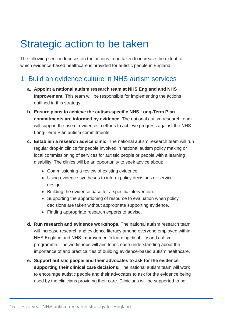## <span id="page-15-0"></span>Strategic action to be taken

The following section focuses on the actions to be taken to increase the extent to which evidence-based healthcare is provided for autistic people in England.

### <span id="page-15-1"></span>1. Build an evidence culture in NHS autism services

- **a. Appoint a national autism research team at NHS England and NHS Improvement.** This team will be responsible for implementing the actions outlined in this strategy.
- **b. Ensure plans to achieve the autism-specific NHS Long-Term Plan commitments are informed by evidence.** The national autism research team will support the use of evidence in efforts to achieve progress against the NHS Long-Term Plan autism commitments.
- **c. Establish a research advice clinic.** The national autism research team will run regular drop-in clinics for people involved in national autism policy making or local commissioning of services for autistic people or people with a learning disability. The clinics will be an opportunity to seek advice about:
	- Commissioning a review of existing evidence.
	- Using evidence syntheses to inform policy decisions or service design.
	- Building the evidence base for a specific intervention.
	- Supporting the apportioning of resource to evaluation when policy decisions are taken without appropriate supporting evidence.
	- Finding appropriate research experts to advise.
- **d. Run research and evidence workshops.** The national autism research team will increase research and evidence literacy among everyone employed within NHS England and NHS Improvement's learning disability and autism programme. The workshops will aim to increase understanding about the importance of and practicalities of building evidence-based autism healthcare.
- **e. Support autistic people and their advocates to ask for the evidence supporting their clinical care decisions.** The national autism team will work to encourage autistic people and their advocates to ask for the evidence being used by the clinicians providing their care. Clinicians will be supported to be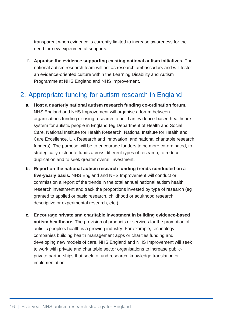transparent when evidence is currently limited to increase awareness for the need for new experimental supports.

**f. Appraise the evidence supporting existing national autism initiatives.** The national autism research team will act as research ambassadors and will foster an evidence-oriented culture within the Learning Disability and Autism Programme at NHS England and NHS Improvement.

## <span id="page-16-0"></span>2. Appropriate funding for autism research in England

- **a. Host a quarterly national autism research funding co-ordination forum.** NHS England and NHS Improvement will organise a forum between organisations funding or using research to build an evidence-based healthcare system for autistic people in England (eg Department of Health and Social Care, National Institute for Health Research, National Institute for Health and Care Excellence, UK Research and Innovation, and national charitable research funders). The purpose will be to encourage funders to be more co-ordinated, to strategically distribute funds across different types of research, to reduce duplication and to seek greater overall investment.
- **b. Report on the national autism research funding trends conducted on a five-yearly basis.** NHS England and NHS Improvement will conduct or commission a report of the trends in the total annual national autism health research investment and track the proportions invested by type of research (eg granted to applied or basic research, childhood or adulthood research, descriptive or experimental research, etc.).
- **c. Encourage private and charitable investment in building evidence-based autism healthcare.** The provision of products or services for the promotion of autistic people's health is a growing industry. For example, technology companies building health management apps or charities funding and developing new models of care. NHS England and NHS Improvement will seek to work with private and charitable sector organisations to increase publicprivate partnerships that seek to fund research, knowledge translation or implementation.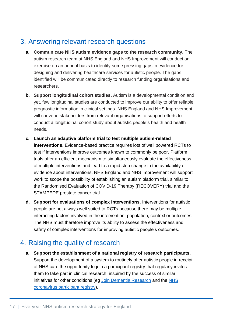## <span id="page-17-0"></span>3. Answering relevant research questions

- **a. Communicate NHS autism evidence gaps to the research community.** The autism research team at NHS England and NHS Improvement will conduct an exercise on an annual basis to identify some pressing gaps in evidence for designing and delivering healthcare services for autistic people. The gaps identified will be communicated directly to research funding organisations and researchers.
- **b. Support longitudinal cohort studies.** Autism is a developmental condition and yet, few longitudinal studies are conducted to improve our ability to offer reliable prognostic information in clinical settings. NHS England and NHS Improvement will convene stakeholders from relevant organisations to support efforts to conduct a longitudinal cohort study about autistic people's health and health needs.
- **c. Launch an adaptive platform trial to test multiple autism-related interventions.** Evidence-based practice requires lots of well powered RCTs to test if interventions improve outcomes known to commonly be poor. Platform trials offer an efficient mechanism to simultaneously evaluate the effectiveness of multiple interventions and lead to a rapid step change in the availability of evidence about interventions. NHS England and NHS Improvement will support work to scope the possibility of establishing an autism platform trial, similar to the Randomised Evaluation of COVID-19 Therapy (RECOVERY) trial and the STAMPEDE prostate cancer trial.
- **d. Support for evaluations of complex interventions.** Interventions for autistic people are not always well suited to RCTs because there may be multiple interacting factors involved in the intervention, population, context or outcomes. The NHS must therefore improve its ability to assess the effectiveness and safety of complex interventions for improving autistic people's outcomes.

## <span id="page-17-1"></span>4. Raising the quality of research

**a. Support the establishment of a national registry of research participants.**  Support the development of a system to routinely offer autistic people in receipt of NHS care the opportunity to join a participant registry that regularly invites them to take part in clinical research, inspired by the success of similar initiatives for other conditions (eg [Join Dementia Research](https://www.joindementiaresearch.nihr.ac.uk/) and the NHS coronavirus [participant registry\)](https://www.nhs.uk/sign-up-to-be-contacted-for-research?culture=en).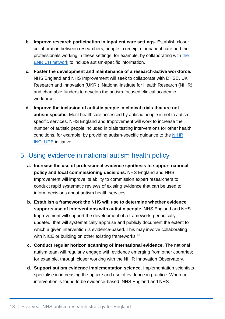- **b. Improve research participation in inpatient care settings.** Establish closer collaboration between researchers, people in receipt of inpatient care and the professionals working in these settings; for example, by collaborating with [the](https://enrich.nihr.ac.uk/)  [ENRICH network](https://enrich.nihr.ac.uk/) to include autism-specific information.
- **c. Foster the development and maintenance of a research-active workforce.** NHS England and NHS Improvement will seek to collaborate with DHSC, UK Research and Innovation (UKRI), National Institute for Health Research (NIHR) and charitable funders to develop the autism-focused clinical academic workforce.
- **d. Improve the inclusion of autistic people in clinical trials that are not autism specific.** Most healthcare accessed by autistic people is not in autismspecific services. NHS England and Improvement will work to increase the number of autistic people included in trials testing interventions for other health conditions, for example, by providing autism-specific guidance to the [NIHR](https://www.nihr.ac.uk/documents/improving-inclusion-of-under-served-groups-in-clinical-research-guidance-from-include-project/25435)  [INCLUDE](https://www.nihr.ac.uk/documents/improving-inclusion-of-under-served-groups-in-clinical-research-guidance-from-include-project/25435) initiative.

## <span id="page-18-0"></span>5. Using evidence in national autism health policy

- **a. Increase the use of professional evidence synthesis to support national policy and local commissioning decisions.** NHS England and NHS Improvement will improve its ability to commission expert researchers to conduct rapid systematic reviews of existing evidence that can be used to inform decisions about autism health services.
- **b. Establish a framework the NHS will use to determine whether evidence supports use of interventions with autistic people.** NHS England and NHS Improvement will support the development of a framework, periodically updated, that will systematically appraise and publicly document the extent to which a given intervention is evidence-based. This may involve collaborating with NICE or building on other existing frameworks.<sup>48</sup>
- **c. Conduct regular horizon scanning of international evidence.** The national autism team will regularly engage with evidence emerging from other countries; for example, through closer working with the NIHR Innovation Observatory.
- **d. Support autism evidence implementation science.** Implementation scientists specialise in increasing the uptake and use of evidence in practice. When an intervention is found to be evidence-based, NHS England and NHS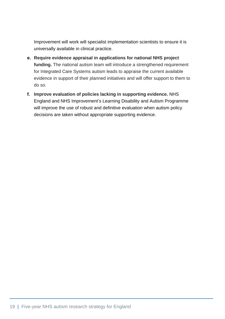Improvement will work will specialist implementation scientists to ensure it is universally available in clinical practice.

- **e. Require evidence appraisal in applications for national NHS project funding.** The national autism team will introduce a strengthened requirement for Integrated Care Systems autism leads to appraise the current available evidence in support of their planned initiatives and will offer support to them to do so.
- **f. Improve evaluation of policies lacking in supporting evidence.** NHS England and NHS Improvement's Learning Disability and Autism Programme will improve the use of robust and definitive evaluation when autism policy decisions are taken without appropriate supporting evidence.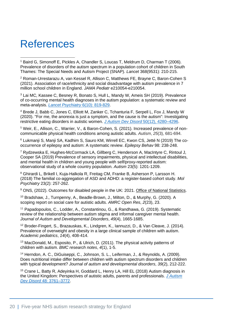## <span id="page-20-0"></span>**References**

<sup>1</sup> Baird G. Simonoff E. Pickles A, Chandler S, Loucas T, Meldrum D, Charman T (2006). Prevalence of disorders of the autism spectrum in a population cohort of children in South Thames: The Special Needs and Autism Project (SNAP). *Lancet* 368(9531): 210-215.

<sup>2</sup> Roman-Urrestarazu A, van Kessel R, Allison C, Matthews FE, Brayne C, Baron-Cohen S (2021). Association of race/ethnicity and social disadvantage with autism prevalence in 7 million school children in England. *JAMA Pediatr* e210054-e210054.

<sup>3</sup> Lai MC, Kassee C, Besney R, Bonato S, Hull L, Mandy W, Ameis SH (2019). Prevalence of co-occurring mental health diagnoses in the autism population: a systematic review and meta-analysis. *[Lancet Psychiatry](https://doi.org/10.1016/S2215-0366(19)30289-5)* 6(10): 819-829.

<sup>4</sup> Brede J, Babb C, Jones C, Elliott M, Zanker C, Tchanturia F, Serpell L, Fox J, Mandy W (2020). "For me, the anorexia is just a symptom, and the cause is the autism": Investigating restrictive eating disorders in autistic women. *[J Autism Dev Disord](https://link.springer.com/article/10.1007%2Fs10803-020-04479-3)* 50(12), 4280–4296.

<sup>5</sup> Weir, E., Allison, C., Warrier, V., & Baron-Cohen, S. (2021). Increased prevalence of noncommunicable physical health conditions among autistic adults. *Autism*, *25*(3), 681-694.

<sup>6</sup> Lukmanji S, Manji SA, Kadhim S, Sauro KM, Wirrell EC, Kwon CS, Jetté N (2019) The cooccurrence of epilepsy and autism: A systematic review. *Epilepsy Behav* 98: 238-248.

<sup>7</sup> Rydzewska E, Hughes-McCormack LA, Gillberg C, Henderson A, MacIntyre C, Rintoul J, Cooper SA (2019) Prevalence of sensory impairments, physical and intellectual disabilities, and mental health in children and young people with self/proxy-reported autism: observational study of a whole country population. *Autism* 23(5): 1201-1209.

<sup>8</sup> Ghirardi L, Brikell I, Kuja-Halkola R, Freitag CM, Franke B, Asherson P, Larsson H. (2018) The familial co-aggregation of ASD and ADHD: a register-based cohort study. *Mol Psychiatry* 23(2): 257-262.

<sup>9</sup> ONS, (2022). Outcomes for disabled people in the UK: 2021. [Office of National Statistics.](https://www.ons.gov.uk/peoplepopulationandcommunity/healthandsocialcare/disability/articles/outcomesfordisabledpeopleintheuk/2021)

<sup>10</sup> Bradshaw, J., Turnpenny, A., Beadle-Brown, J., Milton, D., & Murphy, G. (2020). A scoping report on social care for autistic adults. *AMRC Open Res*, *2*(23), 23.

<sup>11</sup> Papadopoulos, C., Lodder, A., Constantinou, G., & Randhawa, G. (2019). Systematic review of the relationship between autism stigma and informal caregiver mental health. *Journal of Autism and Developmental Disorders*, *49*(4), 1665-1685.

<sup>12</sup> Broder-Fingert, S., Brazauskas, K., Lindgren, K., Iannuzzi, D., & Van Cleave, J. (2014). Prevalence of overweight and obesity in a large clinical sample of children with autism. *Academic pediatrics*, *14*(4), 408-414.

<sup>13</sup> MacDonald, M., Esposito, P., & Ulrich, D. (2011). The physical activity patterns of children with autism. *BMC research notes*, *4*(1), 1-5.

<sup>14</sup> Herndon, A. C., DiGuiseppi, C., Johnson, S. L., Leiferman, J., & Reynolds, A. (2009). Does nutritional intake differ between children with autism spectrum disorders and children with typical development? *Journal of autism and developmental disorders*, *39*(2), 212-222.

<sup>15</sup> Crane L, Batty R, Adeyinka H, Goddard L, Henry LA, Hill EL (2018) Autism diagnosis in the United Kingdom: Perspectives of autistic adults, parents and professionals. *J [Autism](https://link.springer.com/article/10.1007/s10803-018-3639-1)  Dev Disord* [48: 3761–3772.](https://link.springer.com/article/10.1007/s10803-018-3639-1)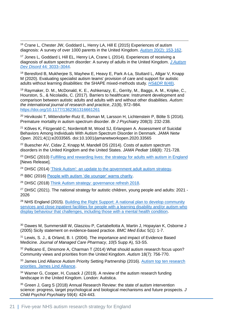<sup>16</sup> Crane L, Chester JW, Goddard L, Henry LA, Hill E (2015) Experiences of autism diagnosis: A survey of over 1000 parents in the United Kingdom. *Autism* [20\(2\): 153-162.](https://journals.sagepub.com/doi/10.1177/1362361315573636)

<sup>17</sup> Jones L, Goddard L Hill EL, Henry LA, Crane L (2014). Experiences of receiving a diagnosis of autism spectrum disorder: A survey of adults in the United Kingdom. *[J Autism](https://link.springer.com/article/10.1007%2Fs10803-014-2161-3)  [Dev Disord](https://link.springer.com/article/10.1007%2Fs10803-014-2161-3)* 44*:* 3033–3044.

<sup>18</sup> Beresford B, Mukherjee S, Mayhew E, Heavy E, Park A-La, Stuttard L, Allgar V, Knapp M (2020). Evaluating specialist autism teams' provision of care and support for autistic adults without learning disabilities: the SHAPE mixed-methods study. *[HS&DR](https://www.journalslibrary.nihr.ac.uk/hsdr/hsdr08480#/abstract)* 8(48).

<sup>19</sup> Raymaker, D. M., McDonald, K. E., Ashkenazy, E., Gerrity, M., Baggs, A. M., Kripke, C., Hourston, S., & Nicolaidis, C. (2017). Barriers to healthcare: Instrument development and comparison between autistic adults and adults with and without other disabilities. *Autism: the international journal of research and practice*, *21*(8), 972–984. <https://doi.org/10.1177/1362361316661261>

<sup>20</sup> Hirvikoski T, Mittendorfer-Rutz E, Boman M, Larsson H, Lichtenstein P, Bölte S (2016). Premature mortality in autism spectrum disorder. *Br J Psychiatry* 208(3): 232-238.

<sup>21</sup> Kõlves K, Fitzgerald C, Nordentoft M, Wood SJ, Erlangsen A. Assessment of Suicidal Behaviors Among Individuals With Autism Spectrum Disorder in Denmark. *JAMA Netw Open.* 2021;4(1):e2033565. doi:10.1001/jamanetworkopen.2020.33565

<sup>22</sup> Buescher AV, Cidav Z, Knapp M, Mandell DS (2014). Costs of autism spectrum disorders in the United Kingdom and the United States. *JAMA Pediatr* 168(8): 721-728.

<sup>23</sup> DHSC (2010) [Fulfilling and rewarding lives: the strategy for adults with autism in England](http://www.gov.uk/government/news/fulfilling-and-rewarding-lives-the-strategy-for-adults-with-autism-in-england) [News Release].

<sup>24</sup> DHSC (2014) ['Think Autism': an update to the government adult autism strategy.](http://www.gov.uk/government/publications/think-autism-an-update-to-the-government-adult-autism-strategy)

<sup>25</sup> BBC (2016) [People with autism 'die younger' warns charity.](http://www.bbc.co.uk/news/health-35833997)

<sup>26</sup> DHSC (2018) [Think Autism strategy: governance refresh 2018.](http://www.gov.uk/government/publications/think-autism-strategy-governance-refresh-2018)

 $27$  DHSC (2021). The national strategy for autistic children, young people and adults: 2021 -2026

<sup>28</sup> NHS England (2015). Building the Right Support: A national plan to develop community services and close inpatient facilities for people with a learning disability and/or autism who [display behaviour that challenges, including those with a mental health condition.](http://www.england.nhs.uk/learning-disabilities/natplan)

<sup>30</sup> Dawes M, Summerskill W, Glasziou P, Cartabellotta A, Martin J, Hopayian K, Osborne J (2005) Sicily statement on evidence-based practice. *BMC Med Educ* 5(1): 1-7.

<sup>31</sup> Lewis, S. J., & Orland, B. I. (2004). The importance and impact of Evidence Based Medicine. *Journal of Managed Care Pharmacy*, *10*(5 Supp A), S3-S5.

<sup>32</sup> Pellicano E, Dinsmore A, Charman T (2014) What should autism research focus upon? Community views and priorities from the United Kingdom. *Autism* 18(7): 756-770.

<sup>33</sup> James Lind Alliance Autism Priority Setting Partnership (2016). Autism top ten research [priorities. James Lind Alliance.](https://www.jla.nihr.ac.uk/priority-setting-partnerships/autism/top-10-priorities/)

<sup>34</sup> Warner G, Cooper, H, Cusack J (2019). A review of the autism research funding landscape in the United Kingdom. London: Autistica.

<sup>35</sup> Green J. Garg S (2018) Annual Research Review: the state of autism intervention science: progress, target psychological and biological mechanisms and future prospects. *J Child Psychol Psychiatry* 59(4): 424-443.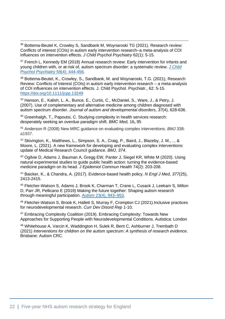<sup>36</sup> Bottema‐Beutel K, Crowley S, Sandbank M, Woynaroski TG (2021). Research review: Conflicts of interest (COIs) in autism early intervention research–a meta‐analysis of COI influences on intervention effects. *J Child Psychol Psychiatry* 62(1): 5-15.

<sup>37</sup> French L, Kennedy EM (2018) Annual research review: Early intervention for infants and young children with, or at‐risk of, autism spectrum disorder: a systematic review. *[J Child](https://acamh.onlinelibrary.wiley.com/doi/10.1111/jcpp.12828)  [Psychol Psychiatry](https://acamh.onlinelibrary.wiley.com/doi/10.1111/jcpp.12828)* 59(4): 444-456.

<sup>38</sup> Bottema-Beutel, K., Crowley, S., Sandbank, M. and Woynaroski, T.G. (2021), Research Review: Conflicts of Interest (COIs) in autism early intervention research – a meta-analysis of COI influences on intervention effects. J. Child Psychol. Psychiatr., 62: 5-15. <https://doi.org/10.1111/jcpp.13249>

<sup>39</sup> Hanson, E., Kalish, L. A., Bunce, E., Curtis, C., McDaniel, S., Ware, J., & Petry, J. (2007). Use of complementary and alternative medicine among children diagnosed with autism spectrum disorder. *Journal of autism and developmental disorders*, *37*(4), 628-636.

<sup>40</sup> Greenhalgh, T., Papoutsi, C. Studying complexity in health services research: desperately seeking an overdue paradigm shift. *BMC Med,* 16**,** 95

<sup>41</sup> Anderson R (2008) New MRC guidance on evaluating complex interventions. *BMJ* 338: a1937.

42 Skivington, K., Matthews, L., Simpson, S. A., Craig, P., Baird, J., Blazeby, J. M., ... & Moore, L. (2021). A new framework for developing and evaluating complex interventions: update of Medical Research Council guidance. *BMJ*, *374*.

<sup>43</sup> Ogilvie D, Adams J, Bauman A, Gregg EW, Panter J, Siegel KR, White M (2020). Using natural experimental studies to guide public health action: turning the evidence-based medicine paradigm on its head. *J Epidemiol Commun Health* 74(2): 203-208.

<sup>44</sup> Baicker, K., & Chandra, A. (2017). Evidence-based health policy. *N Engl J Med*, *377*(25), 2413-2415.

<sup>45</sup> Fletcher-Watson S, Adams J, Brook K, Charman T, Crane L, Cusack J, Leekam S, Milton D, Parr JR, Pellicano E (2019) Making the future together: Shaping autism research through meaningful participation. *Autism* [23\(4\), 943–953.](https://doi.org/10.1177/1362361318786721)

<sup>46</sup> Fletcher-Watson S, Brook K, Hallett S, Murray F, Crompton CJ (2021).Inclusive practices for neurodevelopmental research. *Curr Dev Disord Rep* 1-10.

<sup>47</sup> Embracing Complexity Coalition (2019). Embracing Complexity: Towards New Approaches for Supporting People with Neurodevelopmental Conditions. Autistica: London

<sup>48</sup> Whitehouse A, Varcin K, Waddington H, Sulek R, Bent C, Ashburner J, Trembath D (2021) *Interventions for children on the autism spectrum: A synthesis of research evidence*. Brisbane: Autism CRC.